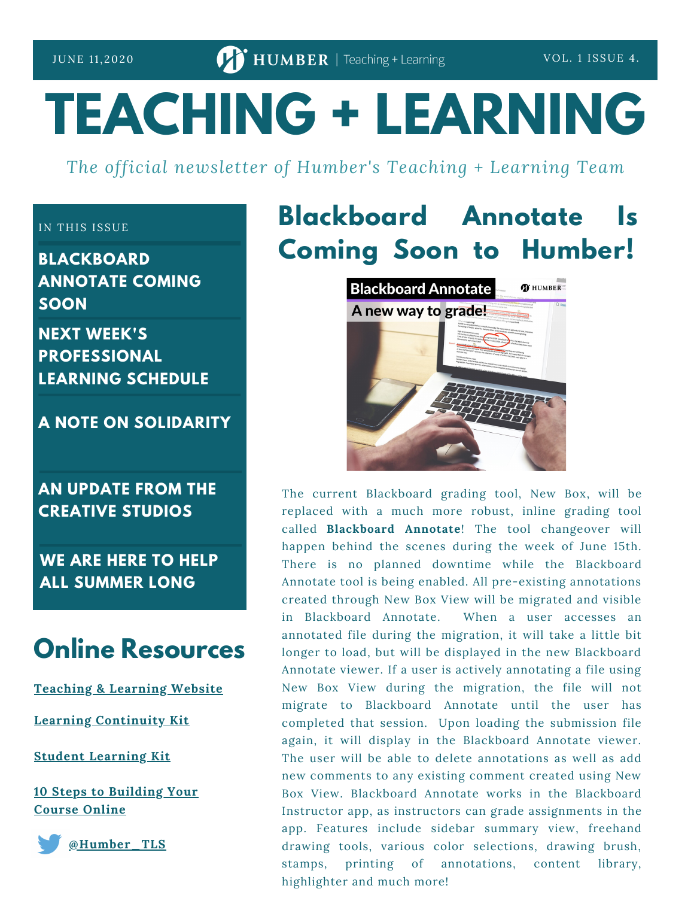# **TEACHING + LEARNING**

*The official newsletter of Humber's Teaching + Learning Team*

#### IN THIS ISSUE

**BLACKBOARD ANNOTATE COMING SOON**

**NEXT WEEK'S PROFESSIONAL LEARNING SCHEDULE**

**A NOTE ON SOLIDARITY**

### **AN UPDATE FROM THE CREATIVE STUDIOS**

**WE ARE HERE TO HELP ALL SUMMER LONG**

## **Online Resources**

**[Teaching](https://humber.ca/teachingandlearning/) & Learning Website**

**Learning [Continuity](https://sites.google.com/view/learningcontinuitykit/home) Kit**

**Student [Learning](https://sites.google.com/view/studentlearningkit) Kit**

**10 Steps to [Building](https://view.genial.ly/5e8ce13874dd8c0e246ef382) Your Course Online**

**[@Humber\\_TLS](https://twitter.com/Humber_TLS)**

# **Blackboard Annotate Is Coming Soon to Humber!**



The current Blackboard grading tool, New Box, will be replaced with a much more robust, inline grading tool called **Blackboard Annotate**! The tool changeover will happen behind the scenes during the week of June 15th. There is no planned downtime while the Blackboard Annotate tool is being enabled. All pre-existing annotations created through New Box View will be migrated and visible in Blackboard Annotate. When a user accesses an annotated file during the migration, it will take a little bit longer to load, but will be displayed in the new Blackboard Annotate viewer. If a user is actively annotating a file using New Box View during the migration, the file will not migrate to Blackboard Annotate until the user has completed that session. Upon loading the submission file again, it will display in the Blackboard Annotate viewer. The user will be able to delete annotations as well as add new comments to any existing comment created using New Box View. Blackboard Annotate works in the Blackboard Instructor app, as instructors can grade assignments in the app. Features include sidebar summary view, freehand drawing tools, various color selections, drawing brush, stamps, printing of annotations, content library, highlighter and much more!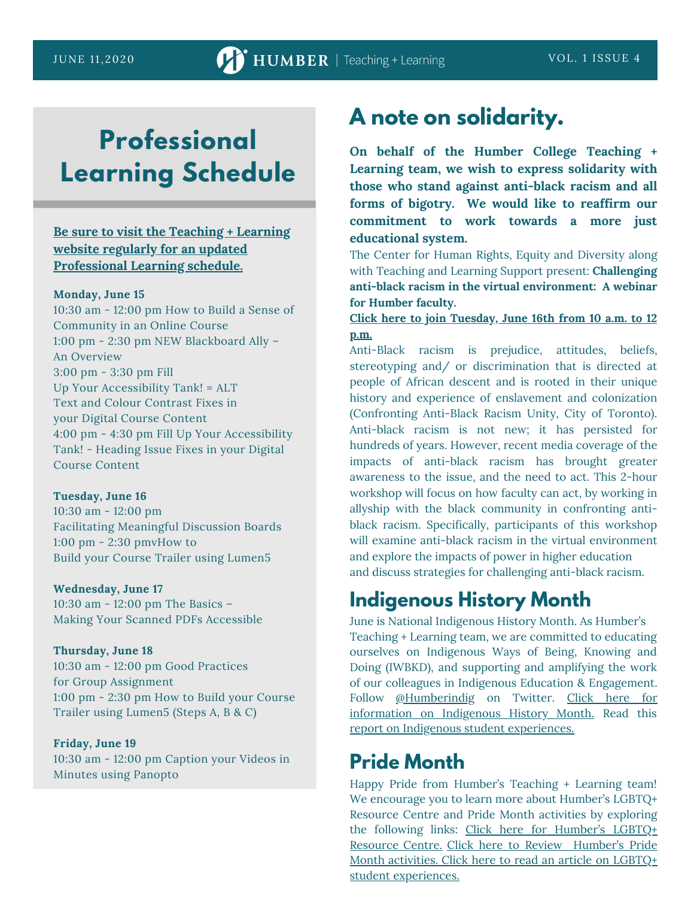# **Professional Learning Schedule**

#### **Be sure to visit the Teaching + Learning website regularly for an updated [Professional](https://sites.google.com/view/learningcontinuitykit/home/attend-virtual-training) Learning schedule.**

#### **Monday, June 15**

10:30 am - 12:00 pm How to Build a Sense of Community in an Online Course 1:00 pm - 2:30 pm NEW Blackboard Ally – An Overview 3:00 pm - 3:30 pm Fill Up Your Accessibility Tank! = ALT Text and Colour Contrast Fixes in your Digital Course Content 4:00 pm - 4:30 pm Fill Up Your Accessibility Tank! - Heading Issue Fixes in your Digital Course Content

#### **Tuesday, June 16**

10:30 am - 12:00 pm Facilitating Meaningful Discussion Boards 1:00 pm - 2:30 pmvHow to Build your Course Trailer using Lumen5

#### **Wednesday, June 17** 10:30 am - 12:00 pm The Basics –

Making Your Scanned PDFs Accessible

#### **Thursday, June 18**

10:30 am - 12:00 pm Good Practices for Group Assignment 1:00 pm - 2:30 pm How to Build your Course Trailer using Lumen5 (Steps A, B & C)

#### **Friday, June 19**

10:30 am - 12:00 pm Caption your Videos in Minutes using Panopto

### **A note on solidarity.**

**On behalf of the Humber College Teaching + Learning team, we wish to express solidarity with those who stand against anti-black racism and all forms of bigotry. We would like to reaffirm our commitment to work towards a more just educational system.**

The Center for Human Rights, Equity and Diversity along with Teaching and Learning Support present: **Challenging anti-black racism in the virtual environment: A webinar for Humber faculty.**

#### **Click here to join [Tuesday,](https://teams.microsoft.com/dl/launcher/launcher.html?url=%2f_%23%2fl%2fmeetup-join%2f19%3ameeting_MmMxMzM4NTAtMTBjMy00NDY2LWFhODItOTU4MWFmYTZjNTFi%40thread.v2%2f0%3fcontext%3d%257b%2522Tid%2522%253a%2522ca92071f-f342-40c7-8385-6997a60526cc%2522%252c%2522Oid%2522%253a%2522ebd242a2-561e-4bc4-8b31-fbd8ca668956%2522%257d%26anon%3dtrue&type=meetup-join&deeplinkId=62ea022f-34e9-45ff-bea1-99bfa3c8ea6e&directDl=true&msLaunch=true&enableMobilePage=true&suppressPrompt=true) June 16th from 10 a.m. to 12 p.m.**

Anti-Black racism is prejudice, attitudes, beliefs, stereotyping and/ or discrimination that is directed at people of African descent and is rooted in their unique history and experience of enslavement and colonization (Confronting Anti-Black Racism Unity, City of Toronto). Anti-black racism is not new; it has persisted for hundreds of years. However, recent media coverage of the impacts of anti-black racism has brought greater awareness to the issue, and the need to act. This 2-hour workshop will focus on how faculty can act, by working in allyship with the black community in confronting antiblack racism. Specifically, participants of this workshop will examine anti-black racism in the virtual environment and explore the impacts of power in higher education and discuss strategies for challenging anti-black racism.

### **Indigenous History Month**

June is National Indigenous History Month. As Humber's Teaching + Learning team, we are committed to educating ourselves on Indigenous Ways of Being, Knowing and Doing (IWBKD), and supporting and amplifying the work of our colleagues in Indigenous Education & Engagement. Follow [@Humberindig](https://twitter.com/HumberIndig) on Twitter. Click here for information on Indigenous History Month. Read this report on Indigenous student [experiences.](https://indspire.ca/wp-content/uploads/2019/10/PSE-Experience-Indigenous-Students-Survey-Summary-Sept2018.pdf)

### **Pride Month**

Happy Pride from Humber's Teaching + Learning team! We encourage you to learn more about Humber's LGBTQ+ Resource Centre and Pride Month activities by exploring the following links: Click here for Humber's LGBTQ+ Resource Centre. Click here to Review [Humber's](http://humber.ca/lgbtq/?_ga=2.27866620.1559046804.1591632131-1164416385.1569333949) Pride Month activities. Click here to read an article on LGBTQ+ student [experiences.](https://www.higheredtoday.org/2017/04/10/lgbtq-students-higher-education/)